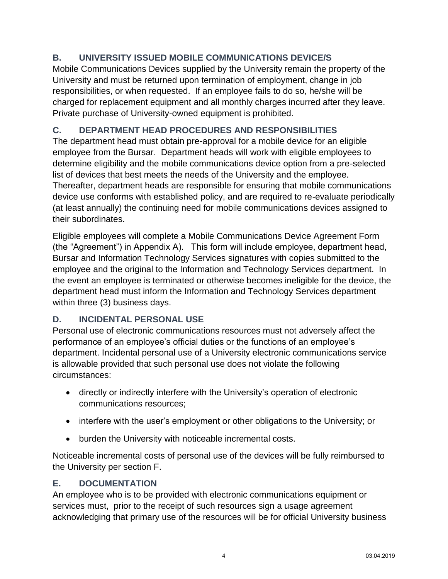## **B. UNIVERSITY ISSUED MOBILE COMMUNICATIONS DEVICE/S**

Mobile Communications Devices supplied by the University remain the property of the University and must be returned upon termination of employment, change in job responsibilities, or when requested. If an employee fails to do so, he/she will be charged for replacement equipment and all monthly charges incurred after they leave. Private purchase of University-owned equipment is prohibited.

## **C. DEPARTMENT HEAD PROCEDURES AND RESPONSIBILITIES**

The department head must obtain pre-approval for a mobile device for an eligible employee from the Bursar. Department heads will work with eligible employees to determine eligibility and the mobile communications device option from a pre-selected list of devices that best meets the needs of the University and the employee. Thereafter, department heads are responsible for ensuring that mobile communications device use conforms with established policy, and are required to re-evaluate periodically (at least annually) the continuing need for mobile communications devices assigned to their subordinates.

Eligible employees will complete a Mobile Communications Device Agreement Form (the "Agreement") in Appendix A). This form will include employee, department head, Bursar and Information Technology Services signatures with copies submitted to the employee and the original to the Information and Technology Services department. In the event an employee is terminated or otherwise becomes ineligible for the device, the department head must inform the Information and Technology Services department within three (3) business days.

## **D. INCIDENTAL PERSONAL USE**

Personal use of electronic communications resources must not adversely affect the performance of an employee's official duties or the functions of an employee's department. Incidental personal use of a University electronic communications service is allowable provided that such personal use does not violate the following circumstances:

- directly or indirectly interfere with the University's operation of electronic communications resources;
- interfere with the user's employment or other obligations to the University; or
- burden the University with noticeable incremental costs.

Noticeable incremental costs of personal use of the devices will be fully reimbursed to the University per section F.

## **E. DOCUMENTATION**

An employee who is to be provided with electronic communications equipment or services must, prior to the receipt of such resources sign a usage agreement acknowledging that primary use of the resources will be for official University business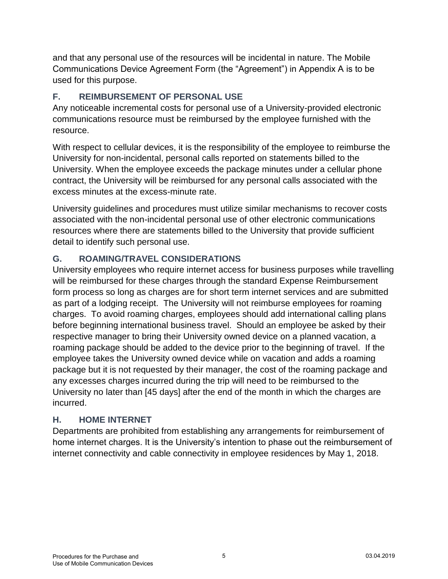and that any personal use of the resources will be incidental in nature. The Mobile Communications Device Agreement Form (the "Agreement") in Appendix A is to be used for this purpose.

## **F. REIMBURSEMENT OF PERSONAL USE**

Any noticeable incremental costs for personal use of a University-provided electronic communications resource must be reimbursed by the employee furnished with the resource.

With respect to cellular devices, it is the responsibility of the employee to reimburse the University for non-incidental, personal calls reported on statements billed to the University. When the employee exceeds the package minutes under a cellular phone contract, the University will be reimbursed for any personal calls associated with the excess minutes at the excess-minute rate.

University guidelines and procedures must utilize similar mechanisms to recover costs associated with the non-incidental personal use of other electronic communications resources where there are statements billed to the University that provide sufficient detail to identify such personal use.

## **G. ROAMING/TRAVEL CONSIDERATIONS**

University employees who require internet access for business purposes while travelling will be reimbursed for these charges through the standard Expense Reimbursement form process so long as charges are for short term internet services and are submitted as part of a lodging receipt. The University will not reimburse employees for roaming charges. To avoid roaming charges, employees should add international calling plans before beginning international business travel. Should an employee be asked by their respective manager to bring their University owned device on a planned vacation, a roaming package should be added to the device prior to the beginning of travel. If the employee takes the University owned device while on vacation and adds a roaming package but it is not requested by their manager, the cost of the roaming package and any excesses charges incurred during the trip will need to be reimbursed to the University no later than [45 days] after the end of the month in which the charges are incurred.

## **H. HOME INTERNET**

Departments are prohibited from establishing any arrangements for reimbursement of home internet charges. It is the University's intention to phase out the reimbursement of internet connectivity and cable connectivity in employee residences by May 1, 2018.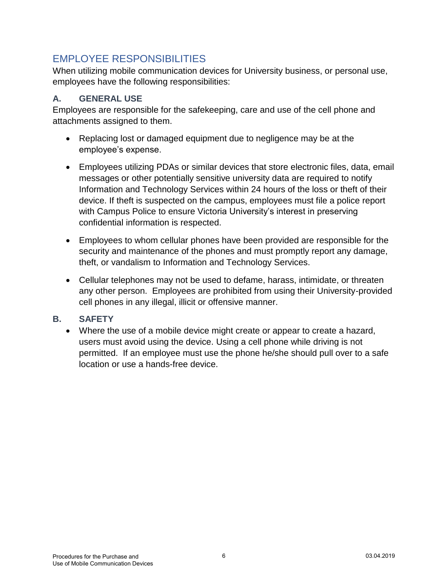# EMPLOYEE RESPONSIBILITIES

When utilizing mobile communication devices for University business, or personal use, employees have the following responsibilities:

## **A. GENERAL USE**

Employees are responsible for the safekeeping, care and use of the cell phone and attachments assigned to them.

- Replacing lost or damaged equipment due to negligence may be at the employee's expense.
- Employees utilizing PDAs or similar devices that store electronic files, data, email messages or other potentially sensitive university data are required to notify Information and Technology Services within 24 hours of the loss or theft of their device. If theft is suspected on the campus, employees must file a police report with Campus Police to ensure Victoria University's interest in preserving confidential information is respected.
- Employees to whom cellular phones have been provided are responsible for the security and maintenance of the phones and must promptly report any damage, theft, or vandalism to Information and Technology Services.
- Cellular telephones may not be used to defame, harass, intimidate, or threaten any other person. Employees are prohibited from using their University-provided cell phones in any illegal, illicit or offensive manner.

## **B. SAFETY**

 Where the use of a mobile device might create or appear to create a hazard, users must avoid using the device. Using a cell phone while driving is not permitted. If an employee must use the phone he/she should pull over to a safe location or use a hands-free device.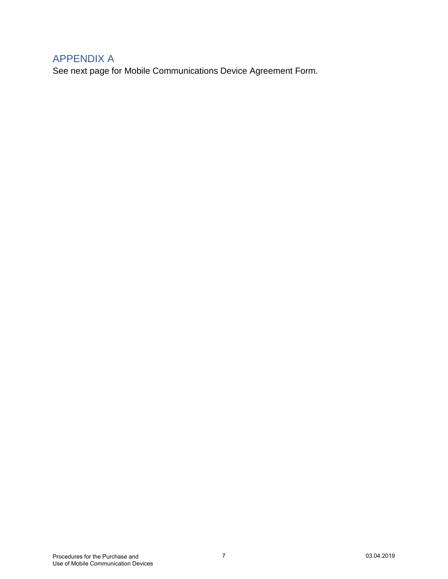## APPENDIX A

See next page for Mobile Communications Device Agreement Form.